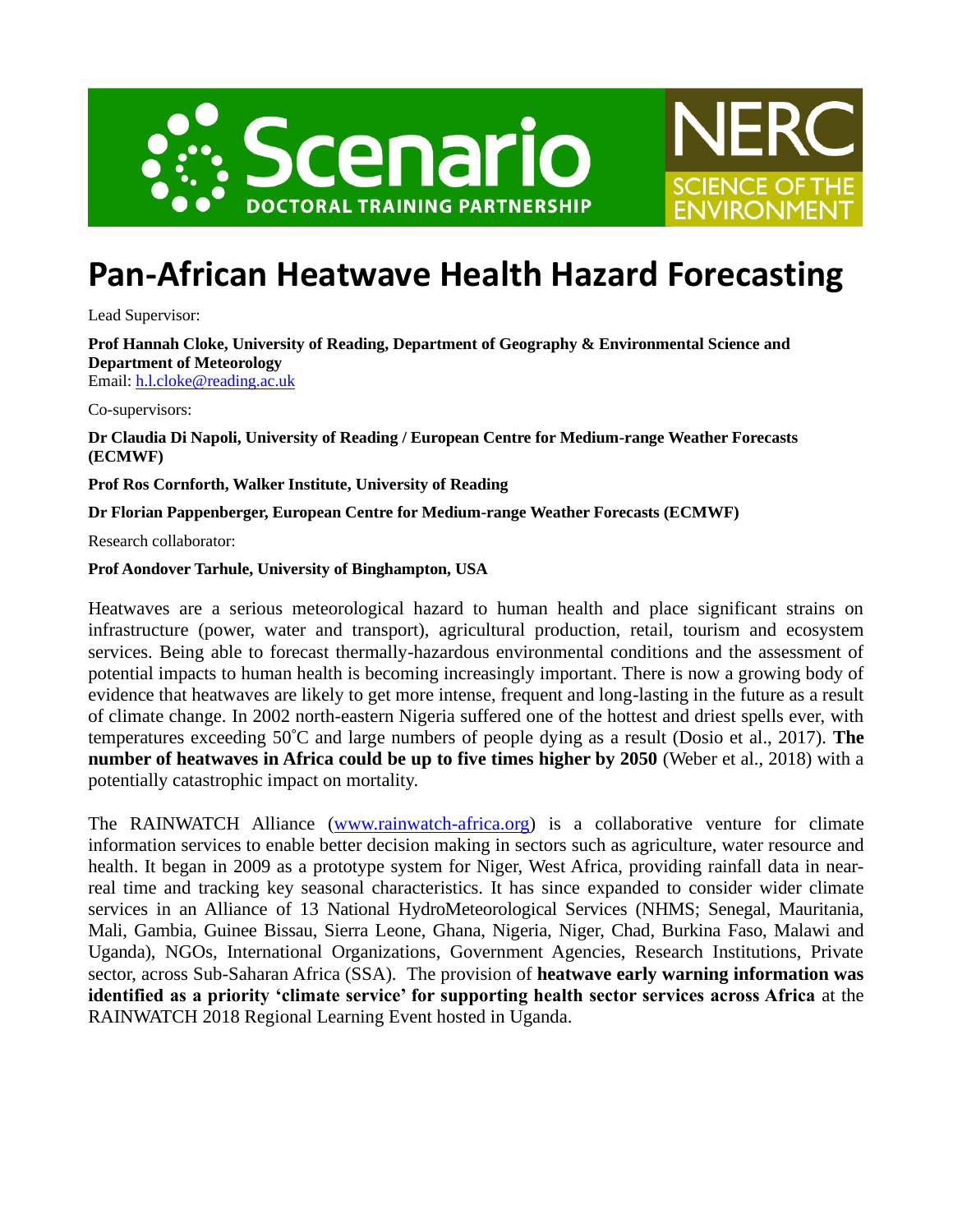



## **Pan-African Heatwave Health Hazard Forecasting**

Lead Supervisor:

**Prof Hannah Cloke, University of Reading, Department of Geography & Environmental Science and Department of Meteorology**

Email: [h.l.cloke@reading.ac.uk](mailto:h.l.cloke@reading.ac.uk)

Co-supervisors:

**Dr Claudia Di Napoli, University of Reading / European Centre for Medium-range Weather Forecasts (ECMWF)**

**Prof Ros Cornforth, Walker Institute, University of Reading**

**Dr Florian Pappenberger, European Centre for Medium-range Weather Forecasts (ECMWF)**

Research collaborator:

**Prof Aondover Tarhule, University of Binghampton, USA**

Heatwaves are a serious meteorological hazard to human health and place significant strains on infrastructure (power, water and transport), agricultural production, retail, tourism and ecosystem services. Being able to forecast thermally-hazardous environmental conditions and the assessment of potential impacts to human health is becoming increasingly important. There is now a growing body of evidence that heatwaves are likely to get more intense, frequent and long-lasting in the future as a result of climate change. In 2002 north-eastern Nigeria suffered one of the hottest and driest spells ever, with temperatures exceeding 50**°**C and large numbers of people dying as a result (Dosio et al., 2017). **The number of heatwaves in Africa could be up to five times higher by 2050** (Weber et al., 2018) with a potentially catastrophic impact on mortality.

The RAINWATCH Alliance [\(www.rainwatch-africa.org\)](http://www.rainwatch-africa.org/) is a collaborative venture for climate information services to enable better decision making in sectors such as agriculture, water resource and health. It began in 2009 as a prototype system for Niger, West Africa, providing rainfall data in nearreal time and tracking key seasonal characteristics. It has since expanded to consider wider climate services in an Alliance of 13 National HydroMeteorological Services (NHMS; Senegal, Mauritania, Mali, Gambia, Guinee Bissau, Sierra Leone, Ghana, Nigeria, Niger, Chad, Burkina Faso, Malawi and Uganda), NGOs, International Organizations, Government Agencies, Research Institutions, Private sector, across Sub-Saharan Africa (SSA). The provision of **heatwave early warning information was identified as a priority 'climate service' for supporting health sector services across Africa** at the RAINWATCH 2018 Regional Learning Event hosted in Uganda.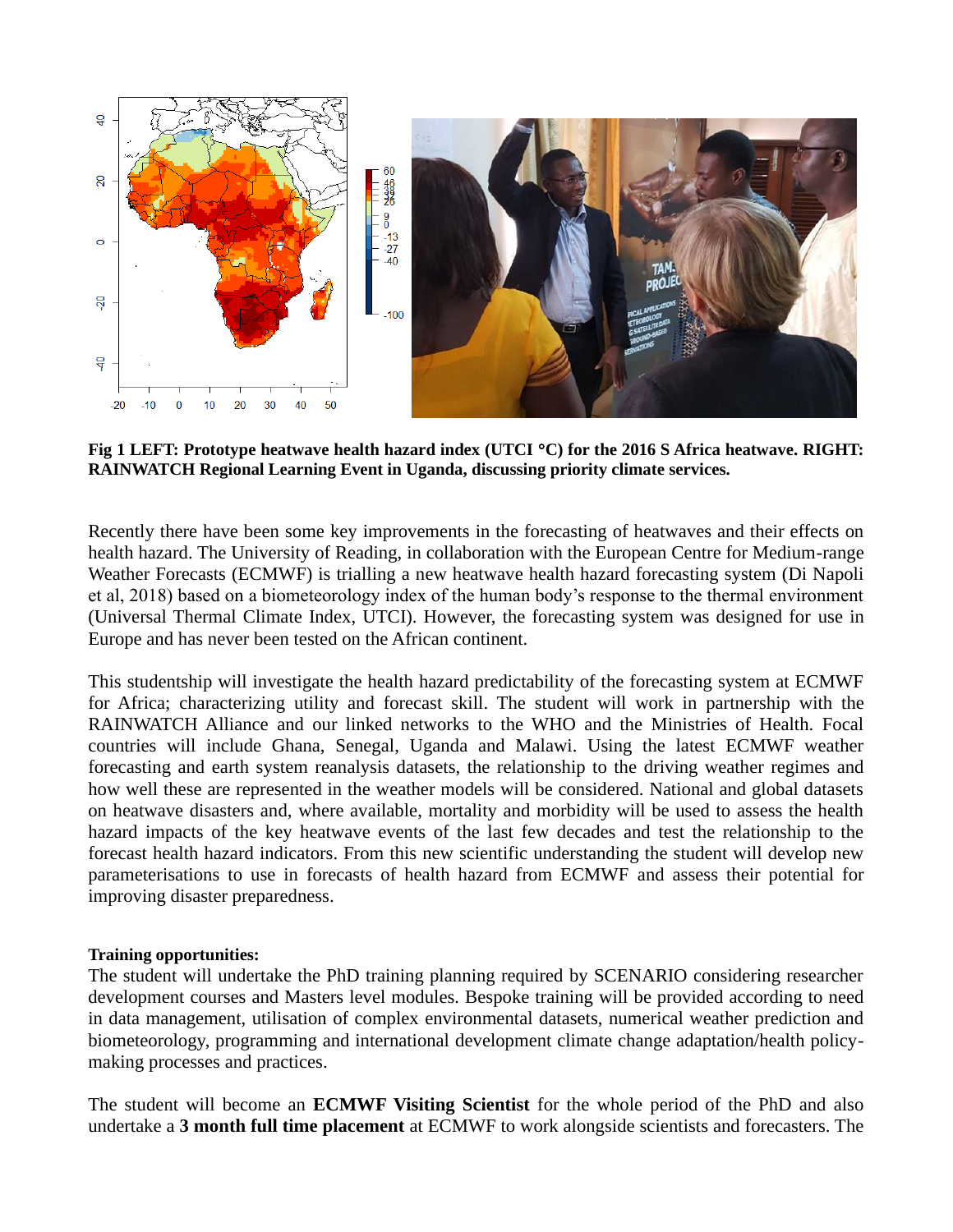

**Fig 1 LEFT: Prototype heatwave health hazard index (UTCI C) for the 2016 S Africa heatwave. RIGHT: RAINWATCH Regional Learning Event in Uganda, discussing priority climate services.**

Recently there have been some key improvements in the forecasting of heatwaves and their effects on health hazard. The University of Reading, in collaboration with the European Centre for Medium-range Weather Forecasts (ECMWF) is trialling a new heatwave health hazard forecasting system (Di Napoli et al, 2018) based on a biometeorology index of the human body's response to the thermal environment (Universal Thermal Climate Index, UTCI). However, the forecasting system was designed for use in Europe and has never been tested on the African continent.

This studentship will investigate the health hazard predictability of the forecasting system at ECMWF for Africa; characterizing utility and forecast skill. The student will work in partnership with the RAINWATCH Alliance and our linked networks to the WHO and the Ministries of Health. Focal countries will include Ghana, Senegal, Uganda and Malawi. Using the latest ECMWF weather forecasting and earth system reanalysis datasets, the relationship to the driving weather regimes and how well these are represented in the weather models will be considered. National and global datasets on heatwave disasters and, where available, mortality and morbidity will be used to assess the health hazard impacts of the key heatwave events of the last few decades and test the relationship to the forecast health hazard indicators. From this new scientific understanding the student will develop new parameterisations to use in forecasts of health hazard from ECMWF and assess their potential for improving disaster preparedness.

## **Training opportunities:**

The student will undertake the PhD training planning required by SCENARIO considering researcher development courses and Masters level modules. Bespoke training will be provided according to need in data management, utilisation of complex environmental datasets, numerical weather prediction and biometeorology, programming and international development climate change adaptation/health policymaking processes and practices.

The student will become an **ECMWF Visiting Scientist** for the whole period of the PhD and also undertake a **3 month full time placement** at ECMWF to work alongside scientists and forecasters. The